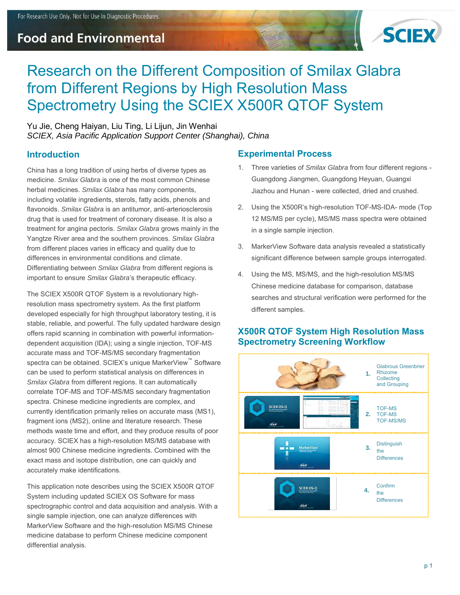## **Food and Environmental**



# Research on the Different Composition of Smilax Glabra from Different Regions by High Resolution Mass Spectrometry Using the SCIEX X500R QTOF System

Yu Jie, Cheng Haiyan, Liu Ting, Li Lijun, Jin Wenhai *SCIEX, Asia Pacific Application Support Center (Shanghai), China* 

#### **Introduction**

China has a long tradition of using herbs of diverse types as medicine. *Smilax Glabra* is one of the most common Chinese herbal medicines. *Smilax Glabra* has many components, including volatile ingredients, sterols, fatty acids, phenols and flavonoids. *Smilax Glabra* is an antitumor, anti-arteriosclerosis drug that is used for treatment of coronary disease. It is also a treatment for angina pectoris. *Smilax Glabra* grows mainly in the Yangtze River area and the southern provinces. *Smilax Glabra* from different places varies in efficacy and quality due to differences in environmental conditions and climate. Differentiating between *Smilax Glabra* from different regions is important to ensure *Smilax Glabra*'s therapeutic efficacy.

The SCIEX X500R QTOF System is a revolutionary highresolution mass spectrometry system. As the first platform developed especially for high throughput laboratory testing, it is stable, reliable, and powerful. The fully updated hardware design offers rapid scanning in combination with powerful informationdependent acquisition (IDA); using a single injection, TOF-MS accurate mass and TOF-MS/MS secondary fragmentation spectra can be obtained. SCIEX's unique MarkerView™ Software can be used to perform statistical analysis on differences in *Smilax Glabra* from different regions. It can automatically correlate TOF-MS and TOF-MS/MS secondary fragmentation spectra. Chinese medicine ingredients are complex, and currently identification primarily relies on accurate mass (MS1), fragment ions (MS2), online and literature research. These methods waste time and effort, and they produce results of poor accuracy. SCIEX has a high-resolution MS/MS database with almost 900 Chinese medicine ingredients. Combined with the exact mass and isotope distribution, one can quickly and accurately make identifications.

This application note describes using the SCIEX X500R QTOF System including updated SCIEX OS Software for mass spectrographic control and data acquisition and analysis. With a single sample injection, one can analyze differences with MarkerView Software and the high-resolution MS/MS Chinese medicine database to perform Chinese medicine component differential analysis.

#### **Experimental Process**

- 1. Three varieties of *Smilax Glabra* from four different regions Guangdong Jiangmen, Guangdong Heyuan, Guangxi Jiazhou and Hunan - were collected, dried and crushed.
- 2. Using the X500R's high-resolution TOF-MS-IDA- mode (Top 12 MS/MS per cycle), MS/MS mass spectra were obtained in a single sample injection.
- 3. MarkerView Software data analysis revealed a statistically significant difference between sample groups interrogated.
- 4. Using the MS, MS/MS, and the high-resolution MS/MS Chinese medicine database for comparison, database searches and structural verification were performed for the different samples.

#### **X500R QTOF System High Resolution Mass Spectrometry Screening Workflow**

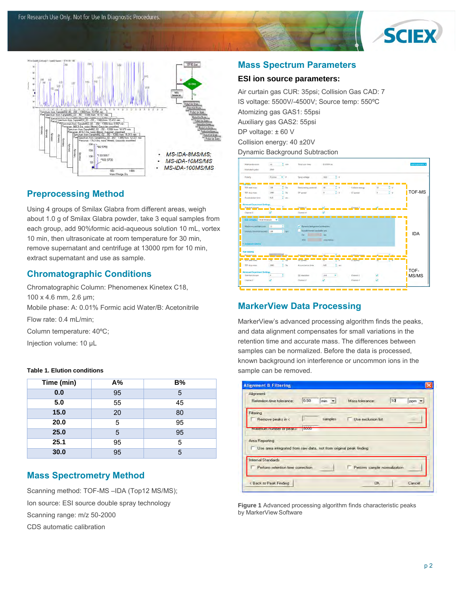



#### **Preprocessing Method**

Using 4 groups of Smilax Glabra from different areas, weigh about 1.0 g of Smilax Glabra powder, take 3 equal samples from each group, add 90%formic acid-aqueous solution 10 mL, vortex 10 min, then ultrasonicate at room temperature for 30 min, remove supernatant and centrifuge at 13000 rpm for 10 min, extract supernatant and use as sample.

#### **Chromatographic Conditions**

Chromatographic Column: Phenomenex Kinetex C18, 100 x 4.6 mm, 2.6 µm; Mobile phase: A: 0.01% Formic acid Water/B: Acetonitrile Flow rate: 0.4 mL/min; Column temperature: 40ºC;

Injection volume: 10 µL

#### **Table 1. Elution conditions**

| Time (min) | A% | B% |
|------------|----|----|
| 0.0        | 95 | 5  |
| 5.0        | 55 | 45 |
| 15.0       | 20 | 80 |
| 20.0       | 5  | 95 |
| 25.0       | 5  | 95 |
| 25.1       | 95 | 5  |
| 30.0       | 95 | 5  |

#### **Mass Spectrometry Method**

Scanning method: TOF-MS -IDA (Top12 MS/MS); Ion source: ESI source double spray technology Scanning range: m/z 50-2000 CDS automatic calibration

#### **Mass Spectrum Parameters**

#### **ESI ion source parameters:**

Air curtain gas CUR: 35psi; Collision Gas CAD: 7 IS voltage: 5500V/-4500V; Source temp: 550ºC Atomizing gas GAS1: 55psi Auxiliary gas GAS2: 55psi DP voltage: ±60 V Collision energy: 40 ±20V Dynamic Background Subtraction



## **MarkerView Data Processing**

MarkerView's advanced processing algorithm finds the peaks, and data alignment compensates for small variations in the retention time and accurate mass. The differences between samples can be normalized. Before the data is processed, known background ion interference or uncommon ions in the sample can be removed.

| Alignment<br>Retention time tolerance:                            | 0.50           | $min$ $\tau$ | Mass tolerance:              | 10 | ppm = |
|-------------------------------------------------------------------|----------------|--------------|------------------------------|----|-------|
| Filtering                                                         |                |              |                              |    |       |
| Remove peaks in <                                                 |                | samples      | Use exclusion list           |    |       |
| <b>Maximum number or peaks:</b>                                   | <b>CARDIAN</b> |              |                              |    |       |
| Area Reporting                                                    |                |              |                              |    |       |
| Use area integrated from raw data, not from original peak finding |                |              |                              |    |       |
|                                                                   |                |              |                              |    |       |
| <b>Internal Standards</b><br>Perform retention time correction    |                |              | Perform sample normalization |    |       |

**Figure 1** Advanced processing algorithm finds characteristic peaks by MarkerView Software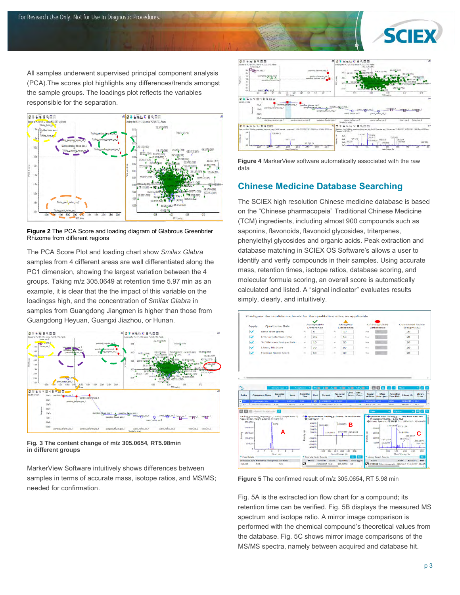

All samples underwent supervised principal component analysis (PCA).The scores plot highlights any differences/trends amongst the sample groups. The loadings plot reflects the variables responsible for the separation.



**Figure 2** The PCA Score and loading diagram of Glabrous Greenbrier Rhizome from different regions

The PCA Score Plot and loading chart show *Smilax Glabra* samples from 4 different areas are well differentiated along the PC1 dimension, showing the largest variation between the 4 groups. Taking m/z 305.0649 at retention time 5.97 min as an example, it is clear that the the impact of this variable on the loadingss high, and the concentration of *Smilax Glabra* in samples from Guangdong Jiangmen is higher than those from Guangdong Heyuan, Guangxi Jiazhou, or Hunan.



**Fig. 3 The content change of m/z 305.0654, RT5.98min in different groups** 

MarkerView Software intuitively shows differences between samples in terms of accurate mass, isotope ratios, and MS/MS; needed for confirmation.





#### **Chinese Medicine Database Searching**

The SCIEX high resolution Chinese medicine database is based on the "Chinese pharmacopeia" Traditional Chinese Medicine (TCM) ingredients, including almost 900 compounds such as saponins, flavonoids, flavonoid glycosides, triterpenes, phenylethyl glycosides and organic acids. Peak extraction and database matching in SCIEX OS Software's allows a user to identify and verify compounds in their samples. Using accurate mass, retention times, isotope ratios, database scoring, and molecular formula scoring, an overall score is automatically calculated and listed. A "signal indicator" evaluates results simply, clearly, and intuitively.



**Figure 5** The confirmed result of m/z 305.0654, RT 5.98 min

Fig. 5A is the extracted ion flow chart for a compound; its retention time can be verified. Fig. 5B displays the measured MS spectrum and isotope ratio. A mirror image comparison is performed with the chemical compound's theoretical values from the database. Fig. 5C shows mirror image comparisons of the MS/MS spectra, namely between acquired and database hit.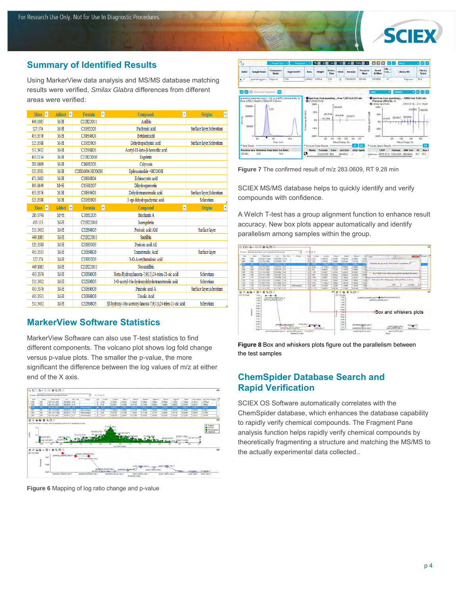

#### **Summary of Identified Results**

Using MarkerView data analysis and MS/MS database matching results were verified, *Smilax Glabra* differences from different areas were verified:

| <b>v</b><br><b>Mass</b> | <b>Adduct</b><br><b>v</b> | <b>Formula</b><br>$\overline{\mathbf v}$ | Compound<br>$\overline{\mathbf v}$                          | <b>Origins</b><br>$\boldsymbol{\mathrm{v}}$ |
|-------------------------|---------------------------|------------------------------------------|-------------------------------------------------------------|---------------------------------------------|
| 449.1085                | $M-H$                     | C21H22O11                                | Astilbin                                                    |                                             |
| 527.374                 | $M-H$                     | C33H52O5                                 | Pachymic acid                                               | Surface laver, Sclerotium                   |
| 453.3376                | $M-H$                     | C30H46O3                                 | Betulonicacid                                               |                                             |
| 525.3588                | $M-H$                     | C33H50O5                                 | Dehydropachymic acid                                        | Surface layer, Sclerotium                   |
| 511.3432                | $M-H$                     | C32H48O5                                 | Acetyl-11-keto-β-boswellic acid                             |                                             |
| 433.1134                | $M-H$                     | C21H22O10                                | Engeletin                                                   |                                             |
| 283.0609                | M-H                       | C16H12O5                                 | Calycosin                                                   |                                             |
| 525.3581                | M-H                       | C28H48O6.HCOOH                           | Epibrassinolide +HCOOH                                      |                                             |
| 471.3483                | $M-H$                     | C30H48O4                                 | Echinocystic acid                                           |                                             |
| 305.0649                | $M+H$                     | C15H12O7                                 | Dihydroquercetin                                            |                                             |
| 453.3376                | M-H                       | C30H46O3                                 | Dehydrotrametenolic acid                                    | Surface layer, Sclerotium                   |
| 525.3588                | $M-H$                     | C33H50O5                                 | 3-epi-dehydropachymic acid                                  | Sclerotium                                  |
| ×<br><b>Mass</b>        | ×<br><b>Adduct</b>        | ×<br>Formula                             | ×<br>Compound                                               | $\overline{\mathbf v}$<br><b>Origins</b>    |
|                         |                           |                                          |                                                             |                                             |
| 285.0748                | $M+H$                     | C16H12O5                                 | Biochanin A                                                 |                                             |
| 433.113                 | $M-H$                     | C21H22O10                                | Isoengeletin                                                |                                             |
| 511.3432                | M-H                       | C32H48O5                                 | Poricoic acid AM                                            | Surface layer                               |
| 449.1085                | M-H                       | C21H22O11                                | Smitilbin                                                   |                                             |
| 525.3588                | M-H                       | C33H50O5                                 | Poricoic acid AE                                            |                                             |
| 455.3535                | M-H                       | C30H48O3                                 | Trametenolic Acid                                           | Surface laver                               |
| 527.374                 | M-H                       | C33H52O5                                 | 3-O-Acetyltumulosic acid                                    |                                             |
| 449.1085                | $M-H$                     | C21H22O11                                | Neosmitilbin                                                |                                             |
| 453.3376                | $M-H$                     | C30H46O3                                 | 3beta-Hydroxylanosta-7,9(11),24-trien-21-oic acid           | Sclerotium                                  |
| 511.3432                | M-H                       | C32H48O5                                 | 3-O-acetyl-16a-hydroxydehydrotrametenolic acid              | Sclerotium                                  |
| 453.3376                | M-H                       | C30H46O3                                 | Pinicolic acid A                                            | Surface layer.sclerotium                    |
| 455.3531                | M-H                       | C30H48O3                                 | Ursolic Acid                                                |                                             |
| 511.3432                | M-H                       | C32H48O5                                 | 3β-hydroxy-16α-acetoxy-lanosta-7,9(11),24-trien-21-oic acid | Sclerotium                                  |

#### **MarkerView Software Statistics**

MarkerView Software can also use T-test statistics to find different components. The volcano plot shows log fold change versus p-value plots. The smaller the p-value, the more significant the difference between the log values of m/z at either end of the X axis.



**Figure 6** Mapping of log ratio change and p-value



**Figure 7** The confirmed result of m/z 283.0609, RT 9.28 min

SCIEX MS/MS database helps to quickly identify and verify compounds with confidence.

A Welch T-test has a group alignment function to enhance result accuracy. New box plots appear automatically and identify parallelism among samples within the group.



**Figure 8** Box and whiskers plots figure out the parallelism between the test samples

#### **ChemSpider Database Search and Rapid Verification**

SCIEX OS Software automatically correlates with the ChemSpider database, which enhances the database capability to rapidly verify chemical compounds. The Fragment Pane analysis function helps rapidly verify chemical compounds by theoretically fragmenting a structure and matching the MS/MS to the actually experimental data collected..